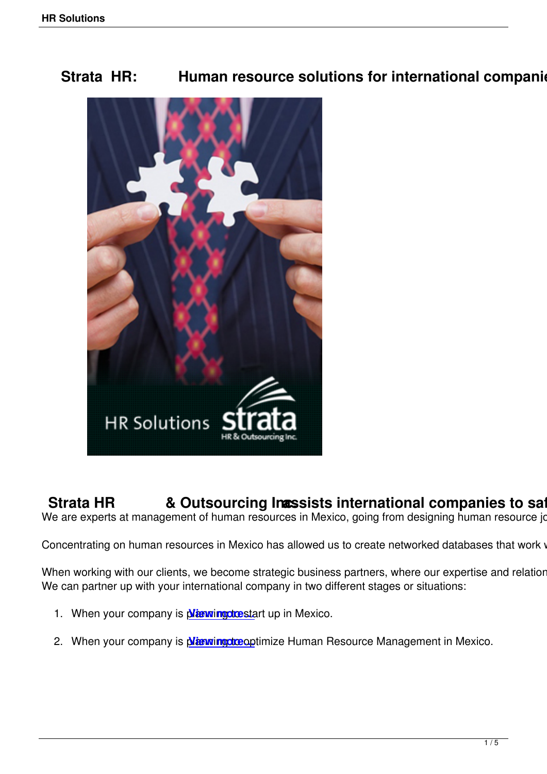**Strata HR: Human resource solutions for international companies in starting in Starting Existing Existing Existing Existing Existing Existing Existing Existing Existing Existing Existing Existing Existing Existing Existin** 



**Strata HR & Outsourcing Incessists international companies to safeguard in Mexico through Strategie and Text** We are experts at management of human resources in Mexico, going from designing human resource job d

Concentrating on human resources in Mexico has allowed us to create networked databases that work with

When working with our clients, we become strategic business partners, where our expertise and relationshi We can partner up with your international company in two different stages or situations:

- 1. When your company is planning to start up in Mexico.
- 2. When your company is *Nigning the optimize Human Resource Management in Mexico.*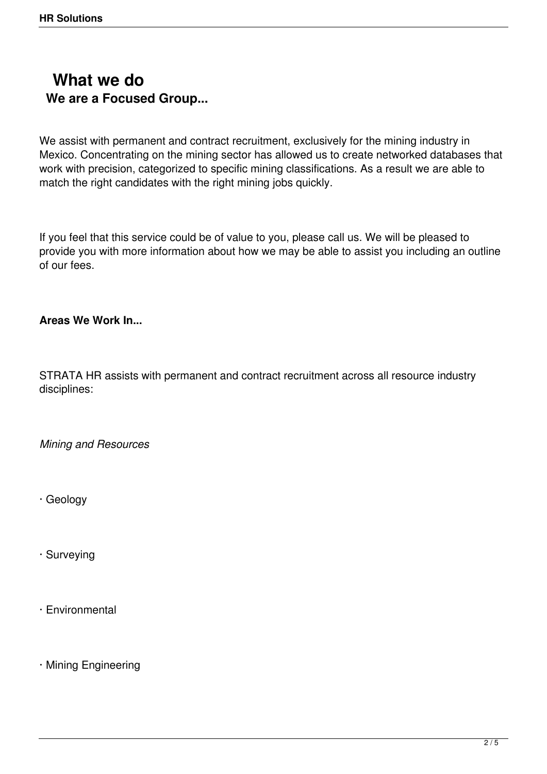## **What we do We are a Focused Group...**

We assist with permanent and contract recruitment, exclusively for the mining industry in Mexico. Concentrating on the mining sector has allowed us to create networked databases that work with precision, categorized to specific mining classifications. As a result we are able to match the right candidates with the right mining jobs quickly.

If you feel that this service could be of value to you, please call us. We will be pleased to provide you with more information about how we may be able to assist you including an outline of our fees.

## **Areas We Work In...**

STRATA HR assists with permanent and contract recruitment across all resource industry disciplines:

*Mining and Resources*

· Geology

· Surveying

· Environmental

· Mining Engineering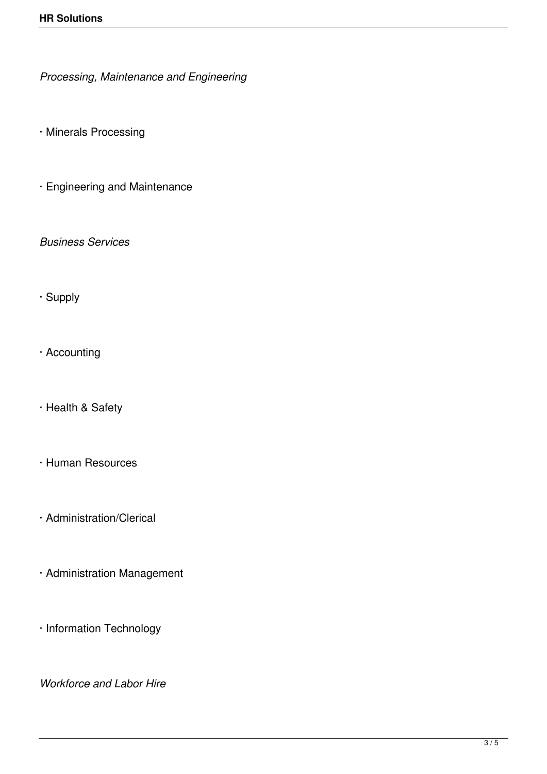*Processing, Maintenance and Engineering*

· Minerals Processing

· Engineering and Maintenance

*Business Services*

- · Supply
- · Accounting
- · Health & Safety
- · Human Resources
- · Administration/Clerical
- · Administration Management
- · Information Technology

*Workforce and Labor Hire*